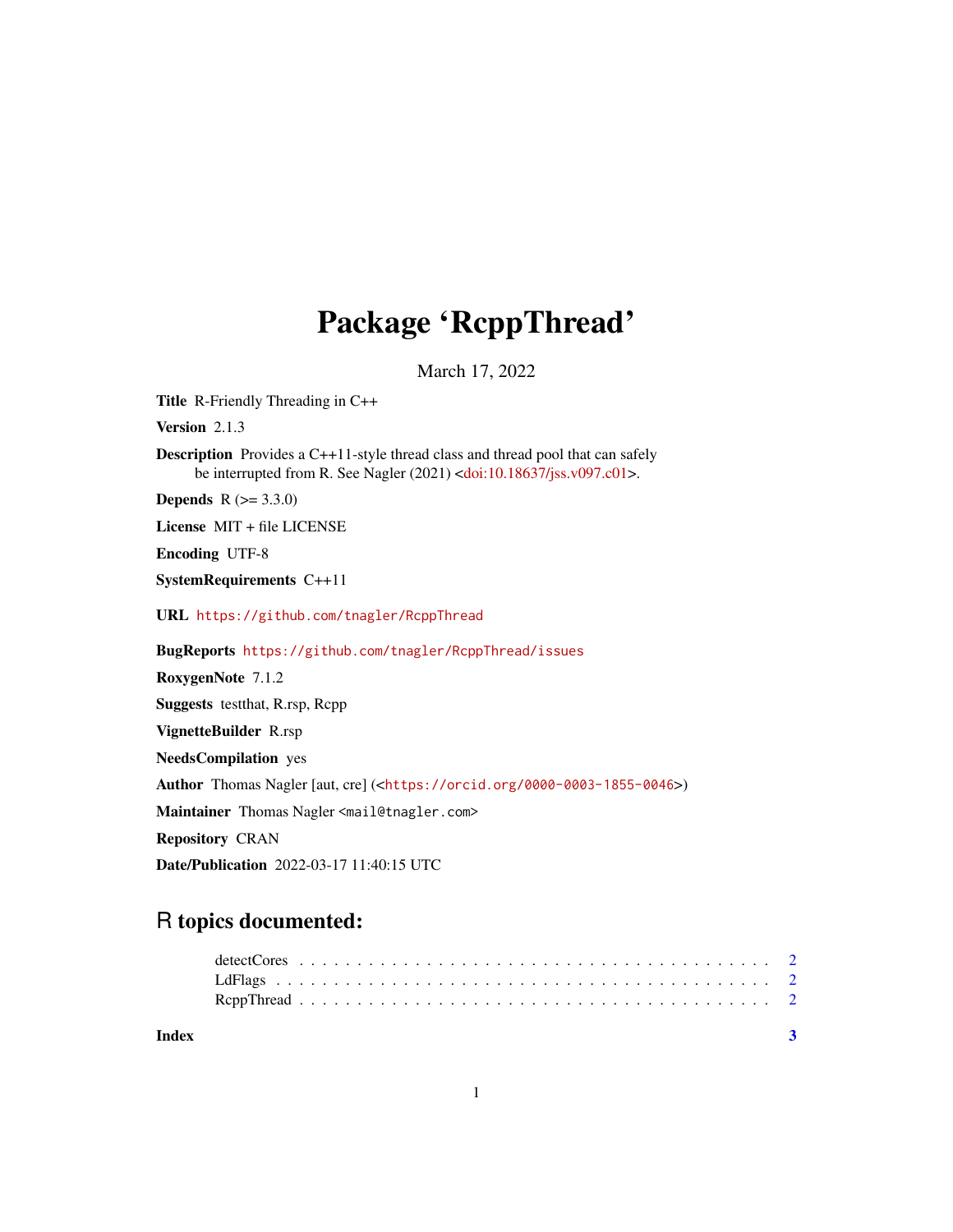## Package 'RcppThread'

March 17, 2022

Title R-Friendly Threading in C++

Version 2.1.3

Description Provides a C++11-style thread class and thread pool that can safely be interrupted from R. See Nagler (2021) [<doi:10.18637/jss.v097.c01>](https://doi.org/10.18637/jss.v097.c01).

**Depends** R  $(>= 3.3.0)$ 

License MIT + file LICENSE

Encoding UTF-8

SystemRequirements C++11

URL <https://github.com/tnagler/RcppThread>

BugReports <https://github.com/tnagler/RcppThread/issues>

RoxygenNote 7.1.2 Suggests testthat, R.rsp, Rcpp VignetteBuilder R.rsp NeedsCompilation yes Author Thomas Nagler [aut, cre] (<<https://orcid.org/0000-0003-1855-0046>>) Maintainer Thomas Nagler <mail@tnagler.com> Repository CRAN Date/Publication 2022-03-17 11:40:15 UTC

### R topics documented:

| Index | $\overline{\mathbf{3}}$ |
|-------|-------------------------|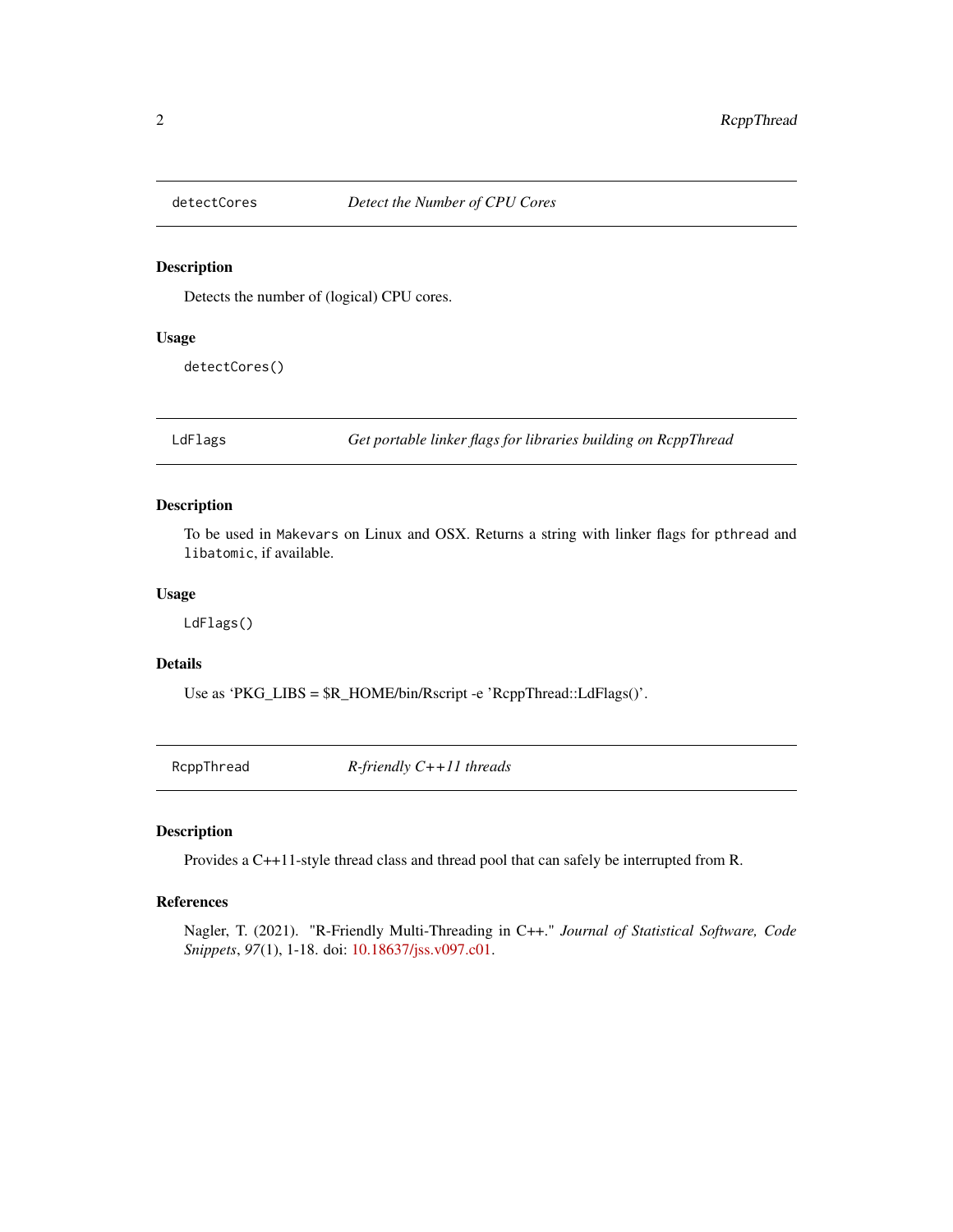<span id="page-1-0"></span>

#### Description

Detects the number of (logical) CPU cores.

#### Usage

detectCores()

LdFlags *Get portable linker flags for libraries building on RcppThread*

#### Description

To be used in Makevars on Linux and OSX. Returns a string with linker flags for pthread and libatomic, if available.

#### Usage

LdFlags()

#### Details

Use as 'PKG\_LIBS = \$R\_HOME/bin/Rscript -e 'RcppThread::LdFlags()'.

RcppThread *R-friendly C++11 threads*

#### Description

Provides a C++11-style thread class and thread pool that can safely be interrupted from R.

#### References

Nagler, T. (2021). "R-Friendly Multi-Threading in C++." *Journal of Statistical Software, Code Snippets*, *97*(1), 1-18. doi: [10.18637/jss.v097.c01.](https://doi.org/10.18637/jss.v097.c01)